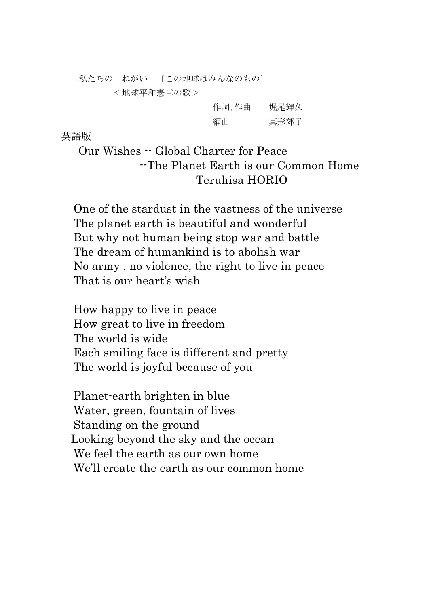私たちの ねがい 〔この地球はみんなのもの〕

 <地球平和憲章の歌>

| 作詞。作曲 | 堀尾輝久 |
|-------|------|
| 編曲    | 真形郊子 |

英語版

 Our Wishes -- Global Charter for Peace --The Planet Earth is our Common Home Teruhisa HORIO

One of the stardust in the vastness of the universe The planet earth is beautiful and wonderful But why not human being stop war and battle The dream of humankind is to abolish war No army , no violence, the right to live in peace That is our heart's wish

How happy to live in peace How great to live in freedom The world is wide Each smiling face is different and pretty The world is joyful because of you

Planet-earth brighten in blue Water, green, fountain of lives Standing on the ground Looking beyond the sky and the ocean We feel the earth as our own home We'll create the earth as our common home